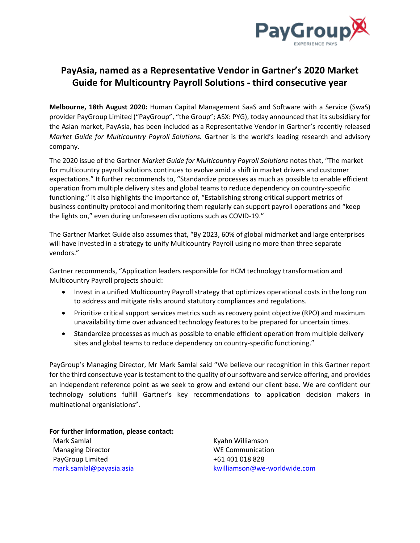

## **PayAsia, named as a Representative Vendor in Gartner's 2020 Market Guide for Multicountry Payroll Solutions - third consecutive year**

**Melbourne, 18th August 2020:** Human Capital Management SaaS and Software with a Service (SwaS) provider PayGroup Limited ("PayGroup", "the Group"; ASX: PYG), today announced that its subsidiary for the Asian market, PayAsia, has been included as a Representative Vendor in Gartner's recently released *Market Guide for Multicountry Payroll Solutions.* Gartner is the world's leading research and advisory company.

The 2020 issue of the Gartner *Market Guide for Multicountry Payroll Solutions* notes that, "The market for multicountry payroll solutions continues to evolve amid a shift in market drivers and customer expectations." It further recommends to, "Standardize processes as much as possible to enable efficient operation from multiple delivery sites and global teams to reduce dependency on country-specific functioning." It also highlights the importance of, "Establishing strong critical support metrics of business continuity protocol and monitoring them regularly can support payroll operations and "keep the lights on," even during unforeseen disruptions such as COVID-19."

The Gartner Market Guide also assumes that, "By 2023, 60% of global midmarket and large enterprises will have invested in a strategy to unify Multicountry Payroll using no more than three separate vendors."

Gartner recommends, "Application leaders responsible for HCM technology transformation and Multicountry Payroll projects should:

- Invest in a unified Multicountry Payroll strategy that optimizes operational costs in the long run to address and mitigate risks around statutory compliances and regulations.
- Prioritize critical support services metrics such as recovery point objective (RPO) and maximum unavailability time over advanced technology features to be prepared for uncertain times.
- Standardize processes as much as possible to enable efficient operation from multiple delivery sites and global teams to reduce dependency on country-specific functioning."

PayGroup's Managing Director, Mr Mark Samlal said "We believe our recognition in this Gartner report for the third consectuve year is testament to the quality of our software and service offering, and provides an independent reference point as we seek to grow and extend our client base. We are confident our technology solutions fulfill Gartner's key recommendations to application decision makers in multinational organisiations".

**For further information, please contact:** Mark Samlal Managing Director PayGroup Limited [mark.samlal@payasia.asia](mailto:mark.samlal@payasia.asia)

Kyahn Williamson WE Communication +61 401 018 828 [kwilliamson@we-worldwide.com](mailto:kwilliamson@we-worldwide.com)